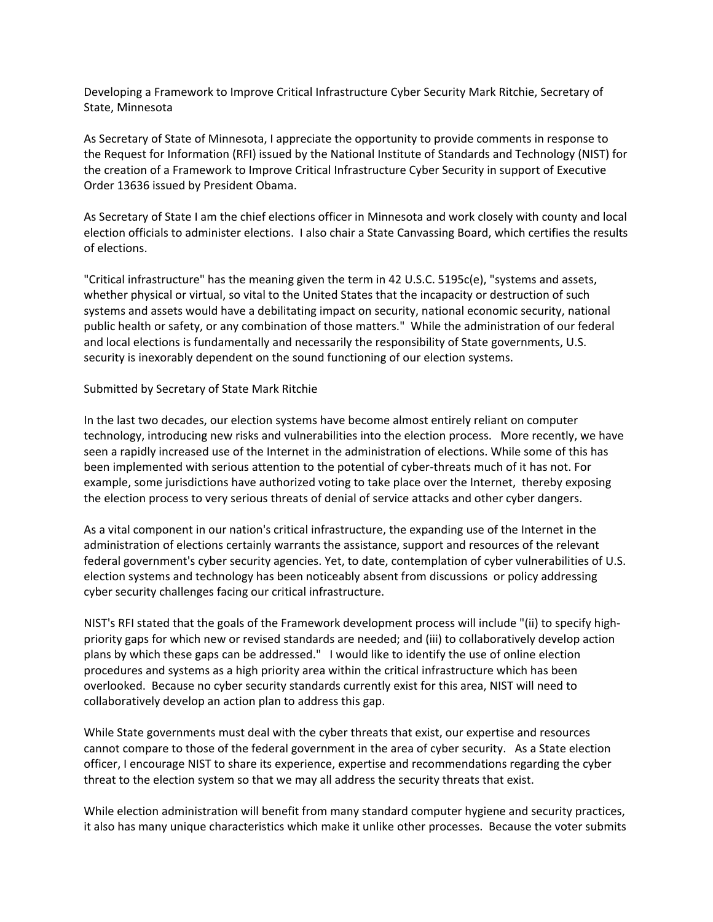Developing a Framework to Improve Critical Infrastructure Cyber Security Mark Ritchie, Secretary of State, Minnesota

As Secretary of State of Minnesota, I appreciate the opportunity to provide comments in response to the Request for Information (RFI) issued by the National Institute of Standards and Technology (NIST) for the creation of a Framework to Improve Critical Infrastructure Cyber Security in support of Executive Order 13636 issued by President Obama.

As Secretary of State I am the chief elections officer in Minnesota and work closely with county and local election officials to administer elections. I also chair a State Canvassing Board, which certifies the results of elections.

"Critical infrastructure" has the meaning given the term in 42 U.S.C. 5195c(e), "systems and assets, whether physical or virtual, so vital to the United States that the incapacity or destruction of such systems and assets would have a debilitating impact on security, national economic security, national public health or safety, or any combination of those matters." While the administration of our federal and local elections is fundamentally and necessarily the responsibility of State governments, U.S. security is inexorably dependent on the sound functioning of our election systems.

## Submitted by Secretary of State Mark Ritchie

In the last two decades, our election systems have become almost entirely reliant on computer technology, introducing new risks and vulnerabilities into the election process. More recently, we have seen a rapidly increased use of the Internet in the administration of elections. While some of this has been implemented with serious attention to the potential of cyber-threats much of it has not. For example, some jurisdictions have authorized voting to take place over the Internet, thereby exposing the election process to very serious threats of denial of service attacks and other cyber dangers.

As a vital component in our nation's critical infrastructure, the expanding use of the Internet in the administration of elections certainly warrants the assistance, support and resources of the relevant federal government's cyber security agencies. Yet, to date, contemplation of cyber vulnerabilities of U.S. election systems and technology has been noticeably absent from discussions or policy addressing cyber security challenges facing our critical infrastructure.

NIST's RFI stated that the goals of the Framework development process will include "(ii) to specify highpriority gaps for which new or revised standards are needed; and (iii) to collaboratively develop action plans by which these gaps can be addressed." I would like to identify the use of online election procedures and systems as a high priority area within the critical infrastructure which has been overlooked. Because no cyber security standards currently exist for this area, NIST will need to collaboratively develop an action plan to address this gap.

While State governments must deal with the cyber threats that exist, our expertise and resources cannot compare to those of the federal government in the area of cyber security. As a State election officer, I encourage NIST to share its experience, expertise and recommendations regarding the cyber threat to the election system so that we may all address the security threats that exist.

While election administration will benefit from many standard computer hygiene and security practices, it also has many unique characteristics which make it unlike other processes. Because the voter submits